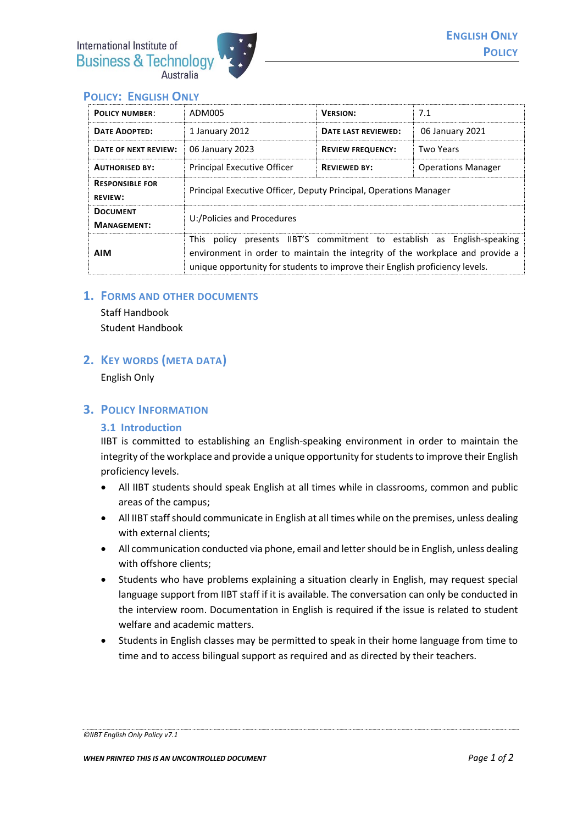

# **POLICY: ENGLISH ONLY**

| <b>POLICY NUMBER:</b>                    | ADM005                                                                                                                                                                                                                                   | <b>VERSION:</b>          | 7.1                       |
|------------------------------------------|------------------------------------------------------------------------------------------------------------------------------------------------------------------------------------------------------------------------------------------|--------------------------|---------------------------|
| <b>DATE ADOPTED:</b>                     | 1 January 2012                                                                                                                                                                                                                           | DATE LAST REVIEWED:      | 06 January 2021           |
| DATE OF NEXT REVIEW:                     | 06 January 2023                                                                                                                                                                                                                          | <b>REVIEW FREQUENCY:</b> | Two Years                 |
| <b>AUTHORISED BY:</b>                    | <b>Principal Executive Officer</b>                                                                                                                                                                                                       | <b>REVIEWED BY:</b>      | <b>Operations Manager</b> |
| <b>RESPONSIBLE FOR</b><br><b>REVIEW:</b> | Principal Executive Officer, Deputy Principal, Operations Manager                                                                                                                                                                        |                          |                           |
| <b>DOCUMENT</b><br><b>MANAGEMENT:</b>    | U:/Policies and Procedures                                                                                                                                                                                                               |                          |                           |
| <b>AIM</b>                               | This policy presents IIBT'S commitment to establish as English-speaking<br>environment in order to maintain the integrity of the workplace and provide a<br>unique opportunity for students to improve their English proficiency levels. |                          |                           |

### **1. FORMS AND OTHER DOCUMENTS**

Staff Handbook Student Handbook

## **2. KEY WORDS (META DATA)**

English Only

## **3. POLICY INFORMATION**

### **3.1 Introduction**

IIBT is committed to establishing an English-speaking environment in order to maintain the integrity of the workplace and provide a unique opportunity for students to improve their English proficiency levels.

- All IIBT students should speak English at all times while in classrooms, common and public areas of the campus;
- All IIBT staffshould communicate in English at all times while on the premises, unless dealing with external clients:
- All communication conducted via phone, email and letter should be in English, unless dealing with offshore clients;
- Students who have problems explaining a situation clearly in English, may request special language support from IIBT staff if it is available. The conversation can only be conducted in the interview room. Documentation in English is required if the issue is related to student welfare and academic matters.
- Students in English classes may be permitted to speak in their home language from time to time and to access bilingual support as required and as directed by their teachers.